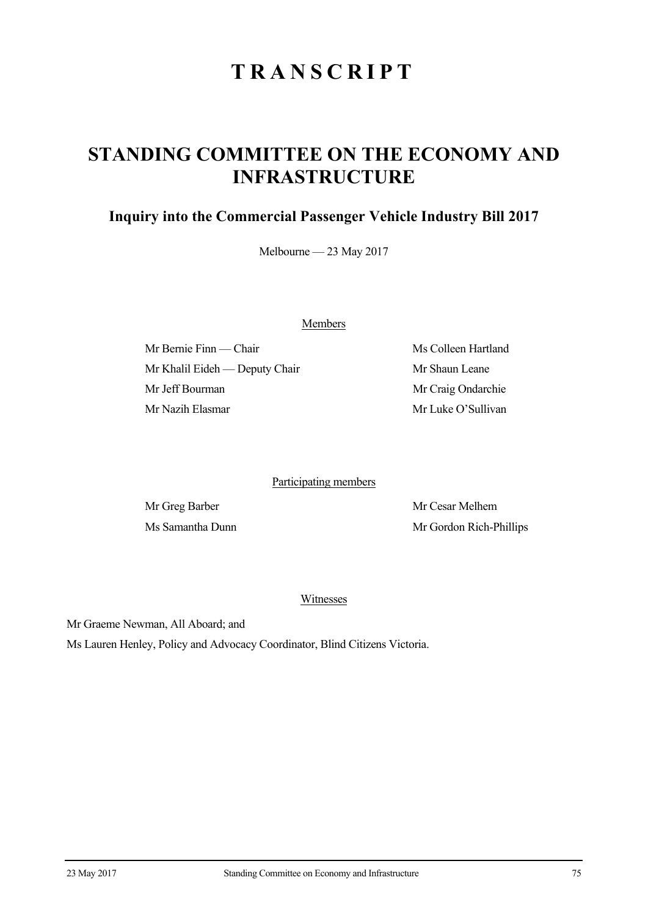## **TRANSCRIPT**

## **STANDING COMMITTEE ON THE ECONOMY AND INFRASTRUCTURE**

## **Inquiry into the Commercial Passenger Vehicle Industry Bill 2017**

Melbourne — 23 May 2017

Members

Mr Bernie Finn — Chair Ms Colleen Hartland Mr Khalil Eideh — Deputy Chair Mr Shaun Leane Mr Jeff Bourman Mr Craig Ondarchie Mr Nazih Elasmar Mr Luke O'Sullivan

Participating members

Mr Greg Barber Mr Cesar Melhem Ms Samantha Dunn Mr Gordon Rich-Phillips

Witnesses

Mr Graeme Newman, All Aboard; and

Ms Lauren Henley, Policy and Advocacy Coordinator, Blind Citizens Victoria.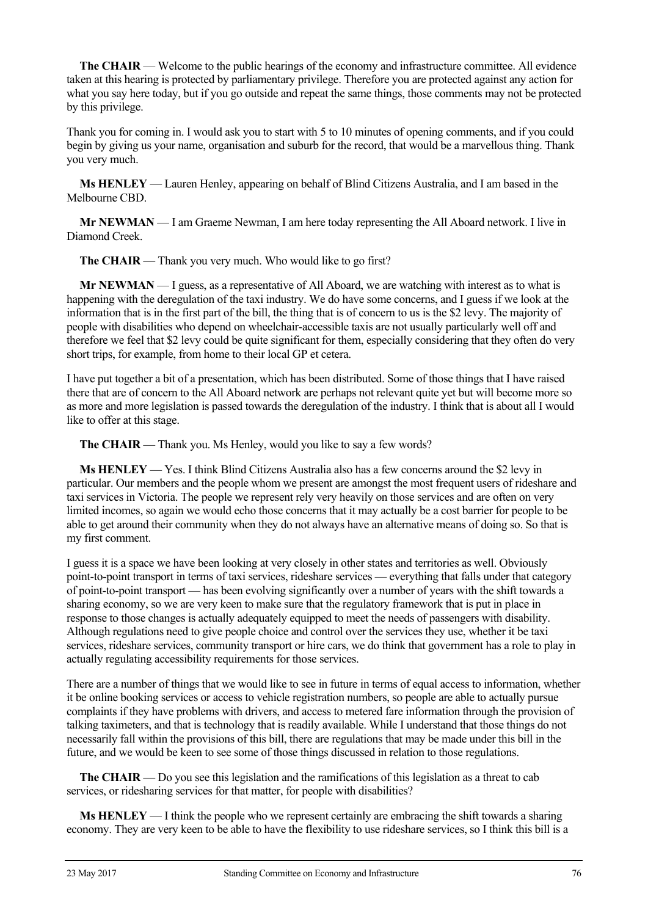**The CHAIR** — Welcome to the public hearings of the economy and infrastructure committee. All evidence taken at this hearing is protected by parliamentary privilege. Therefore you are protected against any action for what you say here today, but if you go outside and repeat the same things, those comments may not be protected by this privilege.

Thank you for coming in. I would ask you to start with 5 to 10 minutes of opening comments, and if you could begin by giving us your name, organisation and suburb for the record, that would be a marvellous thing. Thank you very much.

**Ms HENLEY** — Lauren Henley, appearing on behalf of Blind Citizens Australia, and I am based in the Melbourne CBD.

**Mr NEWMAN** — I am Graeme Newman, I am here today representing the All Aboard network. I live in Diamond Creek.

**The CHAIR** — Thank you very much. Who would like to go first?

**Mr NEWMAN** — I guess, as a representative of All Aboard, we are watching with interest as to what is happening with the deregulation of the taxi industry. We do have some concerns, and I guess if we look at the information that is in the first part of the bill, the thing that is of concern to us is the \$2 levy. The majority of people with disabilities who depend on wheelchair-accessible taxis are not usually particularly well off and therefore we feel that \$2 levy could be quite significant for them, especially considering that they often do very short trips, for example, from home to their local GP et cetera.

I have put together a bit of a presentation, which has been distributed. Some of those things that I have raised there that are of concern to the All Aboard network are perhaps not relevant quite yet but will become more so as more and more legislation is passed towards the deregulation of the industry. I think that is about all I would like to offer at this stage.

**The CHAIR** — Thank you. Ms Henley, would you like to say a few words?

**Ms HENLEY** — Yes. I think Blind Citizens Australia also has a few concerns around the \$2 levy in particular. Our members and the people whom we present are amongst the most frequent users of rideshare and taxi services in Victoria. The people we represent rely very heavily on those services and are often on very limited incomes, so again we would echo those concerns that it may actually be a cost barrier for people to be able to get around their community when they do not always have an alternative means of doing so. So that is my first comment.

I guess it is a space we have been looking at very closely in other states and territories as well. Obviously point-to-point transport in terms of taxi services, rideshare services — everything that falls under that category of point-to-point transport — has been evolving significantly over a number of years with the shift towards a sharing economy, so we are very keen to make sure that the regulatory framework that is put in place in response to those changes is actually adequately equipped to meet the needs of passengers with disability. Although regulations need to give people choice and control over the services they use, whether it be taxi services, rideshare services, community transport or hire cars, we do think that government has a role to play in actually regulating accessibility requirements for those services.

There are a number of things that we would like to see in future in terms of equal access to information, whether it be online booking services or access to vehicle registration numbers, so people are able to actually pursue complaints if they have problems with drivers, and access to metered fare information through the provision of talking taximeters, and that is technology that is readily available. While I understand that those things do not necessarily fall within the provisions of this bill, there are regulations that may be made under this bill in the future, and we would be keen to see some of those things discussed in relation to those regulations.

**The CHAIR** — Do you see this legislation and the ramifications of this legislation as a threat to cab services, or ridesharing services for that matter, for people with disabilities?

**Ms HENLEY** — I think the people who we represent certainly are embracing the shift towards a sharing economy. They are very keen to be able to have the flexibility to use rideshare services, so I think this bill is a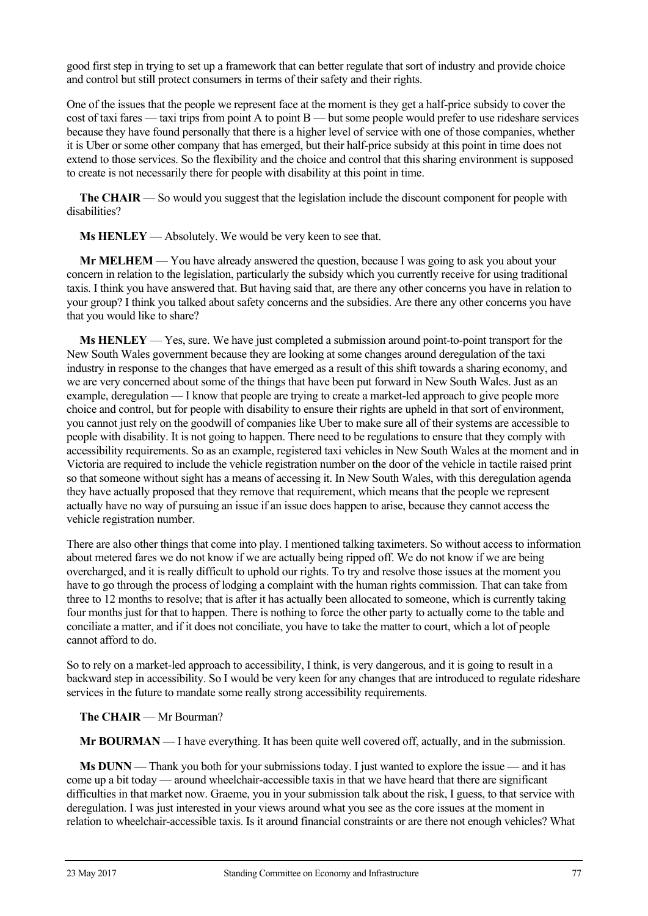good first step in trying to set up a framework that can better regulate that sort of industry and provide choice and control but still protect consumers in terms of their safety and their rights.

One of the issues that the people we represent face at the moment is they get a half-price subsidy to cover the cost of taxi fares — taxi trips from point A to point B — but some people would prefer to use rideshare services because they have found personally that there is a higher level of service with one of those companies, whether it is Uber or some other company that has emerged, but their half-price subsidy at this point in time does not extend to those services. So the flexibility and the choice and control that this sharing environment is supposed to create is not necessarily there for people with disability at this point in time.

**The CHAIR** — So would you suggest that the legislation include the discount component for people with disabilities?

**Ms HENLEY** — Absolutely. We would be very keen to see that.

**Mr MELHEM** — You have already answered the question, because I was going to ask you about your concern in relation to the legislation, particularly the subsidy which you currently receive for using traditional taxis. I think you have answered that. But having said that, are there any other concerns you have in relation to your group? I think you talked about safety concerns and the subsidies. Are there any other concerns you have that you would like to share?

**Ms HENLEY** — Yes, sure. We have just completed a submission around point-to-point transport for the New South Wales government because they are looking at some changes around deregulation of the taxi industry in response to the changes that have emerged as a result of this shift towards a sharing economy, and we are very concerned about some of the things that have been put forward in New South Wales. Just as an example, deregulation — I know that people are trying to create a market-led approach to give people more choice and control, but for people with disability to ensure their rights are upheld in that sort of environment, you cannot just rely on the goodwill of companies like Uber to make sure all of their systems are accessible to people with disability. It is not going to happen. There need to be regulations to ensure that they comply with accessibility requirements. So as an example, registered taxi vehicles in New South Wales at the moment and in Victoria are required to include the vehicle registration number on the door of the vehicle in tactile raised print so that someone without sight has a means of accessing it. In New South Wales, with this deregulation agenda they have actually proposed that they remove that requirement, which means that the people we represent actually have no way of pursuing an issue if an issue does happen to arise, because they cannot access the vehicle registration number.

There are also other things that come into play. I mentioned talking taximeters. So without access to information about metered fares we do not know if we are actually being ripped off. We do not know if we are being overcharged, and it is really difficult to uphold our rights. To try and resolve those issues at the moment you have to go through the process of lodging a complaint with the human rights commission. That can take from three to 12 months to resolve; that is after it has actually been allocated to someone, which is currently taking four months just for that to happen. There is nothing to force the other party to actually come to the table and conciliate a matter, and if it does not conciliate, you have to take the matter to court, which a lot of people cannot afford to do.

So to rely on a market-led approach to accessibility, I think, is very dangerous, and it is going to result in a backward step in accessibility. So I would be very keen for any changes that are introduced to regulate rideshare services in the future to mandate some really strong accessibility requirements.

## **The CHAIR** — Mr Bourman?

**Mr BOURMAN** — I have everything. It has been quite well covered off, actually, and in the submission.

**Ms DUNN** — Thank you both for your submissions today. I just wanted to explore the issue — and it has come up a bit today — around wheelchair-accessible taxis in that we have heard that there are significant difficulties in that market now. Graeme, you in your submission talk about the risk, I guess, to that service with deregulation. I was just interested in your views around what you see as the core issues at the moment in relation to wheelchair-accessible taxis. Is it around financial constraints or are there not enough vehicles? What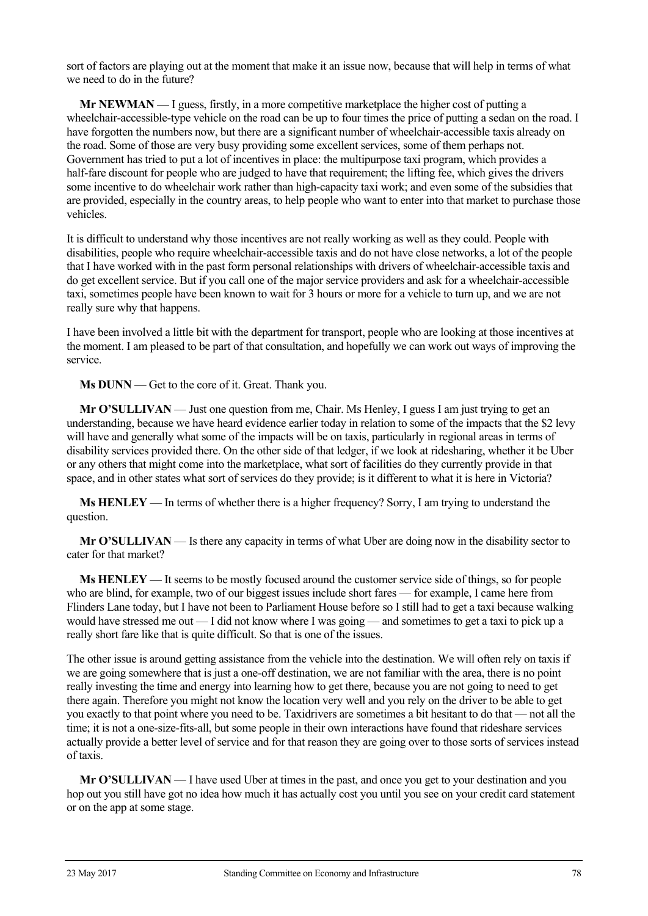sort of factors are playing out at the moment that make it an issue now, because that will help in terms of what we need to do in the future?

**Mr NEWMAN** — I guess, firstly, in a more competitive marketplace the higher cost of putting a wheelchair-accessible-type vehicle on the road can be up to four times the price of putting a sedan on the road. I have forgotten the numbers now, but there are a significant number of wheelchair-accessible taxis already on the road. Some of those are very busy providing some excellent services, some of them perhaps not. Government has tried to put a lot of incentives in place: the multipurpose taxi program, which provides a half-fare discount for people who are judged to have that requirement; the lifting fee, which gives the drivers some incentive to do wheelchair work rather than high-capacity taxi work; and even some of the subsidies that are provided, especially in the country areas, to help people who want to enter into that market to purchase those vehicles.

It is difficult to understand why those incentives are not really working as well as they could. People with disabilities, people who require wheelchair-accessible taxis and do not have close networks, a lot of the people that I have worked with in the past form personal relationships with drivers of wheelchair-accessible taxis and do get excellent service. But if you call one of the major service providers and ask for a wheelchair-accessible taxi, sometimes people have been known to wait for 3 hours or more for a vehicle to turn up, and we are not really sure why that happens.

I have been involved a little bit with the department for transport, people who are looking at those incentives at the moment. I am pleased to be part of that consultation, and hopefully we can work out ways of improving the service.

**Ms DUNN** — Get to the core of it. Great. Thank you.

**Mr O'SULLIVAN** — Just one question from me, Chair. Ms Henley, I guess I am just trying to get an understanding, because we have heard evidence earlier today in relation to some of the impacts that the \$2 levy will have and generally what some of the impacts will be on taxis, particularly in regional areas in terms of disability services provided there. On the other side of that ledger, if we look at ridesharing, whether it be Uber or any others that might come into the marketplace, what sort of facilities do they currently provide in that space, and in other states what sort of services do they provide; is it different to what it is here in Victoria?

**Ms HENLEY** — In terms of whether there is a higher frequency? Sorry, I am trying to understand the question.

**Mr O'SULLIVAN** — Is there any capacity in terms of what Uber are doing now in the disability sector to cater for that market?

**Ms HENLEY** — It seems to be mostly focused around the customer service side of things, so for people who are blind, for example, two of our biggest issues include short fares — for example, I came here from Flinders Lane today, but I have not been to Parliament House before so I still had to get a taxi because walking would have stressed me out — I did not know where I was going — and sometimes to get a taxi to pick up a really short fare like that is quite difficult. So that is one of the issues.

The other issue is around getting assistance from the vehicle into the destination. We will often rely on taxis if we are going somewhere that is just a one-off destination, we are not familiar with the area, there is no point really investing the time and energy into learning how to get there, because you are not going to need to get there again. Therefore you might not know the location very well and you rely on the driver to be able to get you exactly to that point where you need to be. Taxidrivers are sometimes a bit hesitant to do that — not all the time; it is not a one-size-fits-all, but some people in their own interactions have found that rideshare services actually provide a better level of service and for that reason they are going over to those sorts of services instead of taxis.

**Mr O'SULLIVAN** — I have used Uber at times in the past, and once you get to your destination and you hop out you still have got no idea how much it has actually cost you until you see on your credit card statement or on the app at some stage.